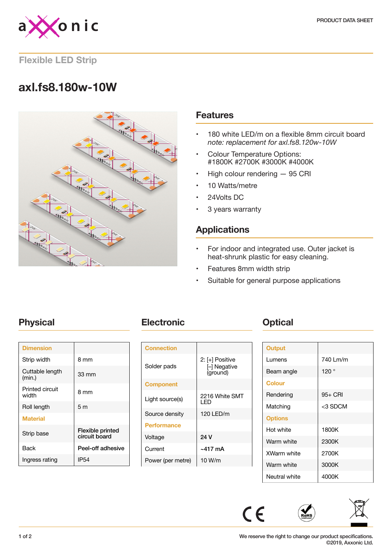

### **Flexible LED Strip**

# **axl.fs8.180w-10W**



### **Features**

- 180 white LED/m on a flexible 8mm circuit board *note: replacement for axl.fs8.120w-10W*
- Colour Temperature Options: #1800K #2700K #3000K #4000K
- High colour rendering 95 CRI
- 10 Watts/metre
- 24Volts DC
- 3 years warranty

## **Applications**

- For indoor and integrated use. Outer jacket is heat-shrunk plastic for easy cleaning.
- Features 8mm width strip
- Suitable for general purpose applications

| <b>Dimension</b>          |                                   |
|---------------------------|-----------------------------------|
| Strip width               | 8 mm                              |
| Cuttable length<br>(min.) | 33 mm                             |
| Printed circuit<br>width  | 8 mm                              |
| Roll length               | 5 <sub>m</sub>                    |
| <b>Material</b>           |                                   |
| Strip base                | Flexible printed<br>circuit board |
| Back                      | Peel-off adhesive                 |
| Ingress rating            | IP54                              |

## **Physical <b>Electronic Change Physical**

| <b>Connection</b>  |                                           |
|--------------------|-------------------------------------------|
| Solder pads        | 2: [+] Positive<br>- Negative<br>(ground) |
| <b>Component</b>   |                                           |
| Light source(s)    | 2216 White SMT<br>I FD                    |
| Source density     | 120 LED/m                                 |
| <b>Performance</b> |                                           |
| Voltage            | 24 V                                      |
| Current            | $~17 \text{ mA}$                          |
| Power (per metre)  | 10 W/m                                    |

| <b>Output</b>      |          |
|--------------------|----------|
| Lumens             | 740 Lm/m |
| Beam angle         | 120°     |
| <b>Colour</b>      |          |
| Rendering          | 95+ CRI  |
| Matching           | <3 SDCM  |
| <b>Options</b>     |          |
| Hot white          | 1800K    |
| Warm white         | 2300K    |
| <b>XWarm white</b> | 2700K    |
| Warm white         | 3000K    |
| Neutral white      | 4000K    |



 $C \in$